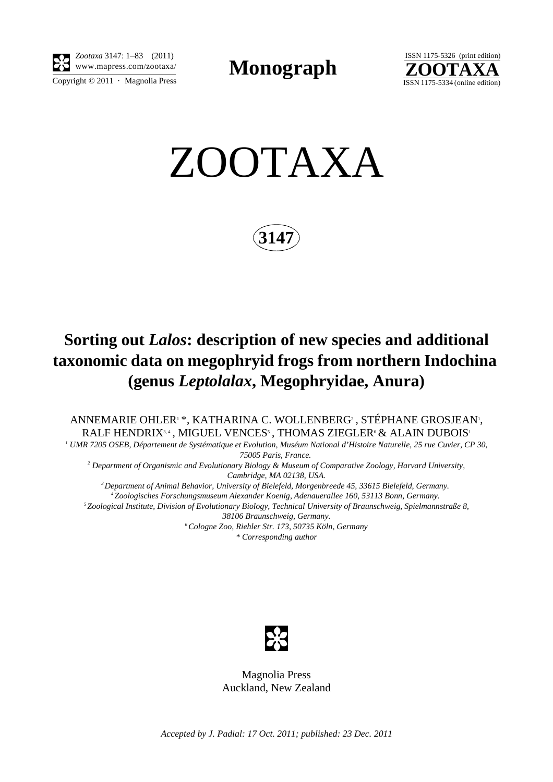

*Zootaxa* 3147: 1–83 (2011) www.mapress.com/zootaxa/ **Monograph**



ZOOTAXA

**3147**

## **Sorting out** *Lalos***: description of new species and additional taxonomic data on megophryid frogs from northern Indochina (genus** *Leptolalax***, Megophryidae, Anura)**

ANNEMARIE OHLER<sup>1</sup> \*, KATHARINA C. WOLLENBERG<sup>2</sup>, STÉPHANE GROSJEAN<sup>1</sup>, RALF HENDRIX<sup>3,4</sup>, MIGUEL VENCES<sup>5</sup>, THOMAS ZIEGLER<sup>6</sup> & ALAIN DUBOIS<sup>1</sup>

*1 UMR 7205 OSEB, Département de Systématique et Evolution, Muséum National d'Histoire Naturelle, 25 rue Cuvier, CP 30,* 

*75005 Paris, France. 2 Department of Organismic and Evolutionary Biology & Museum of Comparative Zoology, Harvard University, Cambridge, MA 02138, USA.*

*3 Department of Animal Behavior, University of Bielefeld, Morgenbreede 45, 33615 Bielefeld, Germany. 4 Zoologisches Forschungsmuseum Alexander Koenig, Adenauerallee 160, 53113 Bonn, Germany. 5 Zoological Institute, Division of Evolutionary Biology, Technical University of Braunschweig, Spielmannstraße 8, 38106 Braunschweig, Germany. 6 Cologne Zoo, Riehler Str. 173, 50735 Köln, Germany \* Corresponding author*



Magnolia Press Auckland, New Zealand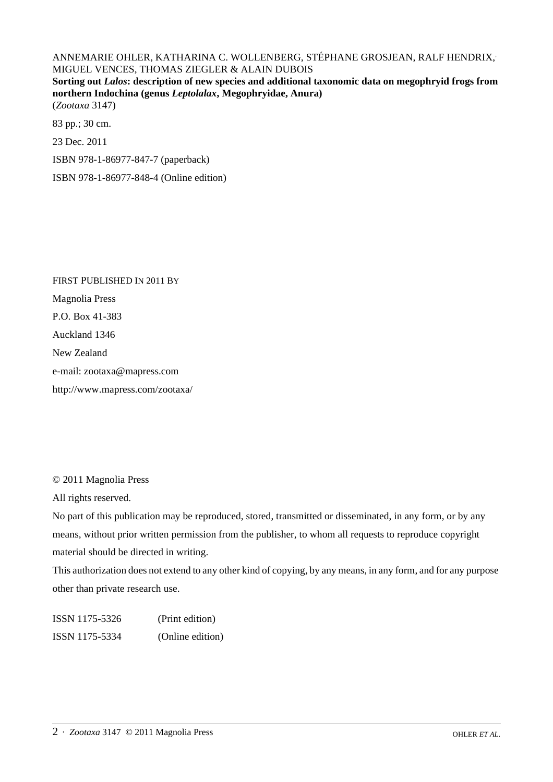## ANNEMARIE OHLER, KATHARINA C. WOLLENBERG, STÉPHANE GROSJEAN, RALF HENDRIX, MIGUEL VENCES, THOMAS ZIEGLER & ALAIN DUBOIS

**Sorting out** *Lalos***: description of new species and additional taxonomic data on megophryid frogs from northern Indochina (genus** *Leptolalax***, Megophryidae, Anura)** (*Zootaxa* 3147)

83 pp.; 30 cm.

23 Dec. 2011

ISBN 978-1-86977-847-7 (paperback)

ISBN 978-1-86977-848-4 (Online edition)

FIRST PUBLISHED IN 2011 BY Magnolia Press P.O. Box 41-383 Auckland 1346 New Zealand e-mail: zootaxa@mapress.com http://www.mapress.com/zootaxa/

© 2011 Magnolia Press

All rights reserved.

No part of this publication may be reproduced, stored, transmitted or disseminated, in any form, or by any means, without prior written permission from the publisher, to whom all requests to reproduce copyright material should be directed in writing.

This authorization does not extend to any other kind of copying, by any means, in any form, and for any purpose other than private research use.

ISSN 1175-5326 (Print edition) ISSN 1175-5334 (Online edition)